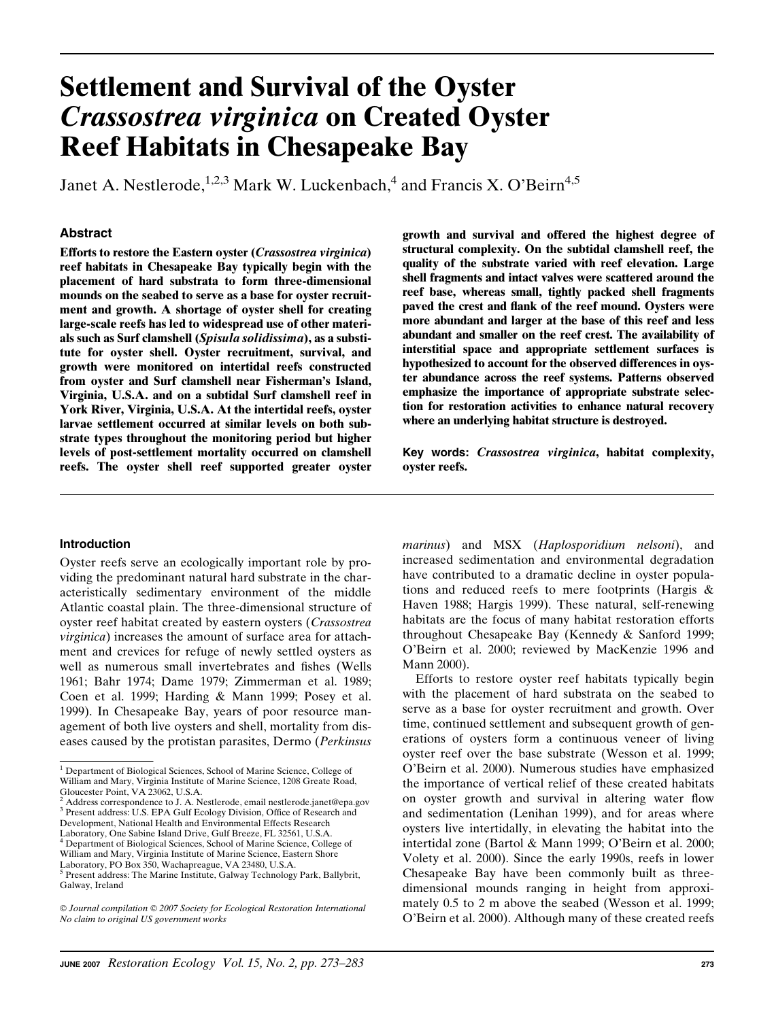# Settlement and Survival of the Oyster Crassostrea virginica on Created Oyster Reef Habitats in Chesapeake Bay

Janet A. Nestlerode,  $1,2,3$  Mark W. Luckenbach,  $4$  and Francis X. O'Beirn<sup>4,5</sup>

## Abstract

Efforts to restore the Eastern oyster (Crassostrea virginica) reef habitats in Chesapeake Bay typically begin with the placement of hard substrata to form three-dimensional mounds on the seabed to serve as a base for oyster recruitment and growth. A shortage of oyster shell for creating large-scale reefs has led to widespread use of other materials such as Surf clamshell (Spisula solidissima), as a substitute for oyster shell. Oyster recruitment, survival, and growth were monitored on intertidal reefs constructed from oyster and Surf clamshell near Fisherman's Island, Virginia, U.S.A. and on a subtidal Surf clamshell reef in York River, Virginia, U.S.A. At the intertidal reefs, oyster larvae settlement occurred at similar levels on both substrate types throughout the monitoring period but higher levels of post-settlement mortality occurred on clamshell reefs. The oyster shell reef supported greater oyster

Introduction

Oyster reefs serve an ecologically important role by providing the predominant natural hard substrate in the characteristically sedimentary environment of the middle Atlantic coastal plain. The three-dimensional structure of oyster reef habitat created by eastern oysters (Crassostrea virginica) increases the amount of surface area for attachment and crevices for refuge of newly settled oysters as well as numerous small invertebrates and fishes (Wells 1961; Bahr 1974; Dame 1979; Zimmerman et al. 1989; Coen et al. 1999; Harding & Mann 1999; Posey et al. 1999). In Chesapeake Bay, years of poor resource management of both live oysters and shell, mortality from diseases caused by the protistan parasites, Dermo (Perkinsus

William and Mary, Virginia Institute of Marine Science, Eastern Shore Laboratory, PO Box 350, Wachapreague, VA 23480, U.S.A. Present address: The Marine Institute, Galway Technology Park, Ballybrit, Galway, Ireland

growth and survival and offered the highest degree of structural complexity. On the subtidal clamshell reef, the quality of the substrate varied with reef elevation. Large shell fragments and intact valves were scattered around the reef base, whereas small, tightly packed shell fragments paved the crest and flank of the reef mound. Oysters were more abundant and larger at the base of this reef and less abundant and smaller on the reef crest. The availability of interstitial space and appropriate settlement surfaces is hypothesized to account for the observed differences in oyster abundance across the reef systems. Patterns observed emphasize the importance of appropriate substrate selection for restoration activities to enhance natural recovery where an underlying habitat structure is destroyed.

Key words: Crassostrea virginica, habitat complexity, oyster reefs.

marinus) and MSX (Haplosporidium nelsoni), and increased sedimentation and environmental degradation have contributed to a dramatic decline in oyster populations and reduced reefs to mere footprints (Hargis & Haven 1988; Hargis 1999). These natural, self-renewing habitats are the focus of many habitat restoration efforts throughout Chesapeake Bay (Kennedy & Sanford 1999; O'Beirn et al. 2000; reviewed by MacKenzie 1996 and Mann 2000).

Efforts to restore oyster reef habitats typically begin with the placement of hard substrata on the seabed to serve as a base for oyster recruitment and growth. Over time, continued settlement and subsequent growth of generations of oysters form a continuous veneer of living oyster reef over the base substrate (Wesson et al. 1999; O'Beirn et al. 2000). Numerous studies have emphasized the importance of vertical relief of these created habitats on oyster growth and survival in altering water flow and sedimentation (Lenihan 1999), and for areas where oysters live intertidally, in elevating the habitat into the intertidal zone (Bartol & Mann 1999; O'Beirn et al. 2000; Volety et al. 2000). Since the early 1990s, reefs in lower Chesapeake Bay have been commonly built as threedimensional mounds ranging in height from approximately 0.5 to 2 m above the seabed (Wesson et al. 1999; O'Beirn et al. 2000). Although many of these created reefs

<sup>1</sup> Department of Biological Sciences, School of Marine Science, College of William and Mary, Virginia Institute of Marine Science, 1208 Greate Road, Gloucester Point, VA 23062, U.S.A.

<sup>2</sup> Address correspondence to J. A. Nestlerode, email nestlerode.janet@epa.gov <sup>3</sup> Present address: U.S. EPA Gulf Ecology Division, Office of Research and Development, National Health and Environmental Effects Research Laboratory, One Sabine Island Drive, Gulf Breeze, FL 32561, U.S.A. <sup>4</sup> Department of Biological Sciences, School of Marine Science, College of

 $©$  Journal compilation  $©$  2007 Society for Ecological Restoration International No claim to original US government works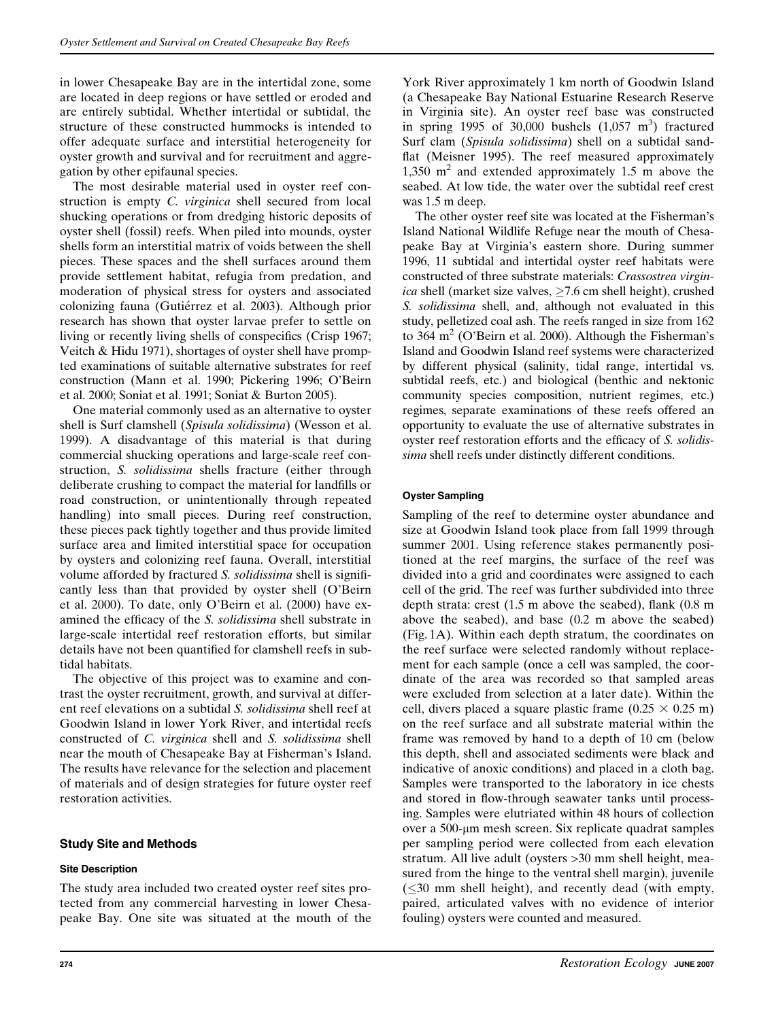in lower Chesapeake Bay are in the intertidal zone, some are located in deep regions or have settled or eroded and are entirely subtidal. Whether intertidal or subtidal, the structure of these constructed hummocks is intended to offer adequate surface and interstitial heterogeneity for oyster growth and survival and for recruitment and aggregation by other epifaunal species.

The most desirable material used in oyster reef construction is empty C. virginica shell secured from local shucking operations or from dredging historic deposits of oyster shell (fossil) reefs. When piled into mounds, oyster shells form an interstitial matrix of voids between the shell pieces. These spaces and the shell surfaces around them provide settlement habitat, refugia from predation, and moderation of physical stress for oysters and associated colonizing fauna (Gutiérrez et al. 2003). Although prior research has shown that oyster larvae prefer to settle on living or recently living shells of conspecifics (Crisp 1967; Veitch & Hidu 1971), shortages of oyster shell have prompted examinations of suitable alternative substrates for reef construction (Mann et al. 1990; Pickering 1996; O'Beirn et al. 2000; Soniat et al. 1991; Soniat & Burton 2005).

One material commonly used as an alternative to oyster shell is Surf clamshell (Spisula solidissima) (Wesson et al. 1999). A disadvantage of this material is that during commercial shucking operations and large-scale reef construction, S. solidissima shells fracture (either through deliberate crushing to compact the material for landfills or road construction, or unintentionally through repeated handling) into small pieces. During reef construction, these pieces pack tightly together and thus provide limited surface area and limited interstitial space for occupation by oysters and colonizing reef fauna. Overall, interstitial volume afforded by fractured S. solidissima shell is significantly less than that provided by oyster shell (O'Beirn et al. 2000). To date, only O'Beirn et al. (2000) have examined the efficacy of the S. solidissima shell substrate in large-scale intertidal reef restoration efforts, but similar details have not been quantified for clamshell reefs in subtidal habitats.

The objective of this project was to examine and contrast the oyster recruitment, growth, and survival at different reef elevations on a subtidal S. solidissima shell reef at Goodwin Island in lower York River, and intertidal reefs constructed of C. virginica shell and S. solidissima shell near the mouth of Chesapeake Bay at Fisherman's Island. The results have relevance for the selection and placement of materials and of design strategies for future oyster reef restoration activities.

# Study Site and Methods

# Site Description

The study area included two created oyster reef sites protected from any commercial harvesting in lower Chesapeake Bay. One site was situated at the mouth of the York River approximately 1 km north of Goodwin Island (a Chesapeake Bay National Estuarine Research Reserve in Virginia site). An oyster reef base was constructed in spring 1995 of 30,000 bushels  $(1,057 \text{ m}^3)$  fractured Surf clam (Spisula solidissima) shell on a subtidal sandflat (Meisner 1995). The reef measured approximately 1,350  $m<sup>2</sup>$  and extended approximately 1.5 m above the seabed. At low tide, the water over the subtidal reef crest was 1.5 m deep.

The other oyster reef site was located at the Fisherman's Island National Wildlife Refuge near the mouth of Chesapeake Bay at Virginia's eastern shore. During summer 1996, 11 subtidal and intertidal oyster reef habitats were constructed of three substrate materials: Crassostrea virginica shell (market size valves,  $\geq$  7.6 cm shell height), crushed S. solidissima shell, and, although not evaluated in this study, pelletized coal ash. The reefs ranged in size from 162 to 364 m<sup>2</sup> (O'Beirn et al. 2000). Although the Fisherman's Island and Goodwin Island reef systems were characterized by different physical (salinity, tidal range, intertidal vs. subtidal reefs, etc.) and biological (benthic and nektonic community species composition, nutrient regimes, etc.) regimes, separate examinations of these reefs offered an opportunity to evaluate the use of alternative substrates in oyster reef restoration efforts and the efficacy of S. solidissima shell reefs under distinctly different conditions.

## Oyster Sampling

Sampling of the reef to determine oyster abundance and size at Goodwin Island took place from fall 1999 through summer 2001. Using reference stakes permanently positioned at the reef margins, the surface of the reef was divided into a grid and coordinates were assigned to each cell of the grid. The reef was further subdivided into three depth strata: crest (1.5 m above the seabed), flank (0.8 m above the seabed), and base (0.2 m above the seabed) (Fig. 1A). Within each depth stratum, the coordinates on the reef surface were selected randomly without replacement for each sample (once a cell was sampled, the coordinate of the area was recorded so that sampled areas were excluded from selection at a later date). Within the cell, divers placed a square plastic frame  $(0.25 \times 0.25 \text{ m})$ on the reef surface and all substrate material within the frame was removed by hand to a depth of 10 cm (below this depth, shell and associated sediments were black and indicative of anoxic conditions) and placed in a cloth bag. Samples were transported to the laboratory in ice chests and stored in flow-through seawater tanks until processing. Samples were elutriated within 48 hours of collection over a 500-*l*m mesh screen. Six replicate quadrat samples per sampling period were collected from each elevation stratum. All live adult (oysters >30 mm shell height, measured from the hinge to the ventral shell margin), juvenile  $(\leq 30$  mm shell height), and recently dead (with empty, paired, articulated valves with no evidence of interior fouling) oysters were counted and measured.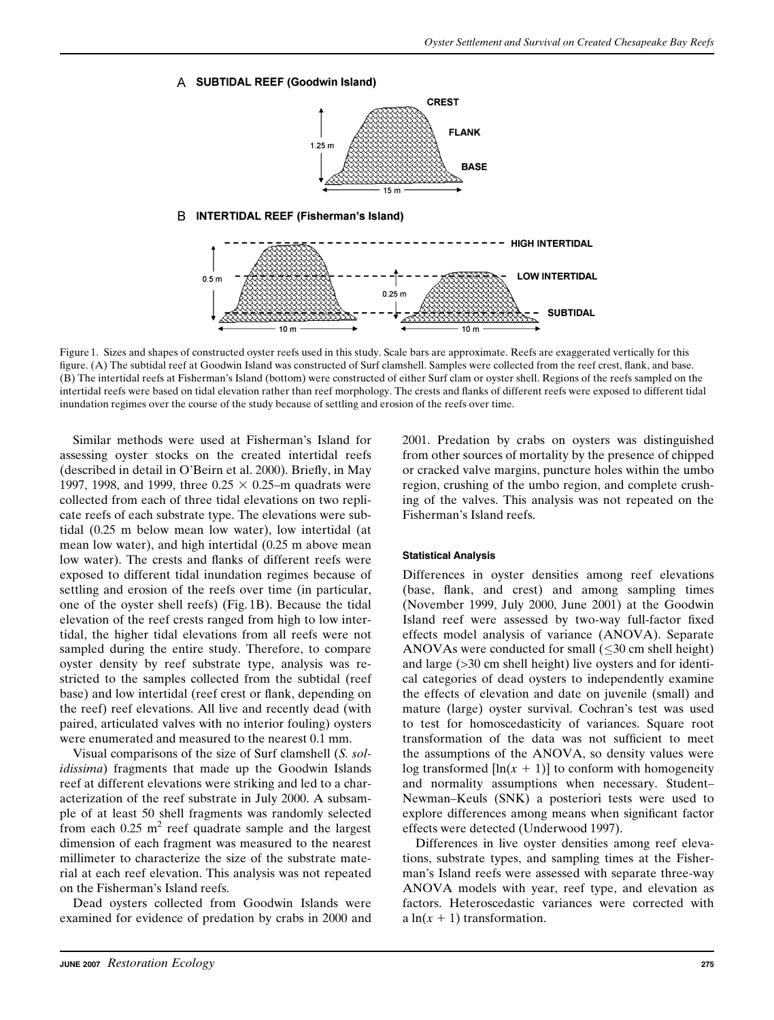#### A SUBTIDAL REEF (Goodwin Island)



**B** INTERTIDAL REEF (Fisherman's Island)



Figure 1. Sizes and shapes of constructed oyster reefs used in this study. Scale bars are approximate. Reefs are exaggerated vertically for this figure. (A) The subtidal reef at Goodwin Island was constructed of Surf clamshell. Samples were collected from the reef crest, flank, and base. (B) The intertidal reefs at Fisherman's Island (bottom) were constructed of either Surf clam or oyster shell. Regions of the reefs sampled on the intertidal reefs were based on tidal elevation rather than reef morphology. The crests and flanks of different reefs were exposed to different tidal inundation regimes over the course of the study because of settling and erosion of the reefs over time.

Similar methods were used at Fisherman's Island for assessing oyster stocks on the created intertidal reefs (described in detail in O'Beirn et al. 2000). Briefly, in May 1997, 1998, and 1999, three  $0.25 \times 0.25$ –m quadrats were collected from each of three tidal elevations on two replicate reefs of each substrate type. The elevations were subtidal (0.25 m below mean low water), low intertidal (at mean low water), and high intertidal (0.25 m above mean low water). The crests and flanks of different reefs were exposed to different tidal inundation regimes because of settling and erosion of the reefs over time (in particular, one of the oyster shell reefs) (Fig. 1B). Because the tidal elevation of the reef crests ranged from high to low intertidal, the higher tidal elevations from all reefs were not sampled during the entire study. Therefore, to compare oyster density by reef substrate type, analysis was restricted to the samples collected from the subtidal (reef base) and low intertidal (reef crest or flank, depending on the reef) reef elevations. All live and recently dead (with paired, articulated valves with no interior fouling) oysters were enumerated and measured to the nearest 0.1 mm.

Visual comparisons of the size of Surf clamshell (S. solidissima) fragments that made up the Goodwin Islands reef at different elevations were striking and led to a characterization of the reef substrate in July 2000. A subsample of at least 50 shell fragments was randomly selected from each  $0.25$  m<sup>2</sup> reef quadrate sample and the largest dimension of each fragment was measured to the nearest millimeter to characterize the size of the substrate material at each reef elevation. This analysis was not repeated on the Fisherman's Island reefs.

Dead oysters collected from Goodwin Islands were examined for evidence of predation by crabs in 2000 and 2001. Predation by crabs on oysters was distinguished from other sources of mortality by the presence of chipped or cracked valve margins, puncture holes within the umbo region, crushing of the umbo region, and complete crushing of the valves. This analysis was not repeated on the Fisherman's Island reefs.

#### Statistical Analysis

Differences in oyster densities among reef elevations (base, flank, and crest) and among sampling times (November 1999, July 2000, June 2001) at the Goodwin Island reef were assessed by two-way full-factor fixed effects model analysis of variance (ANOVA). Separate ANOVAs were conducted for small  $(\leq 30 \text{ cm}$  shell height) and large (>30 cm shell height) live oysters and for identical categories of dead oysters to independently examine the effects of elevation and date on juvenile (small) and mature (large) oyster survival. Cochran's test was used to test for homoscedasticity of variances. Square root transformation of the data was not sufficient to meet the assumptions of the ANOVA, so density values were log transformed  $[\ln(x + 1)]$  to conform with homogeneity and normality assumptions when necessary. Student– Newman–Keuls (SNK) a posteriori tests were used to explore differences among means when significant factor effects were detected (Underwood 1997).

Differences in live oyster densities among reef elevations, substrate types, and sampling times at the Fisherman's Island reefs were assessed with separate three-way ANOVA models with year, reef type, and elevation as factors. Heteroscedastic variances were corrected with a  $ln(x + 1)$  transformation.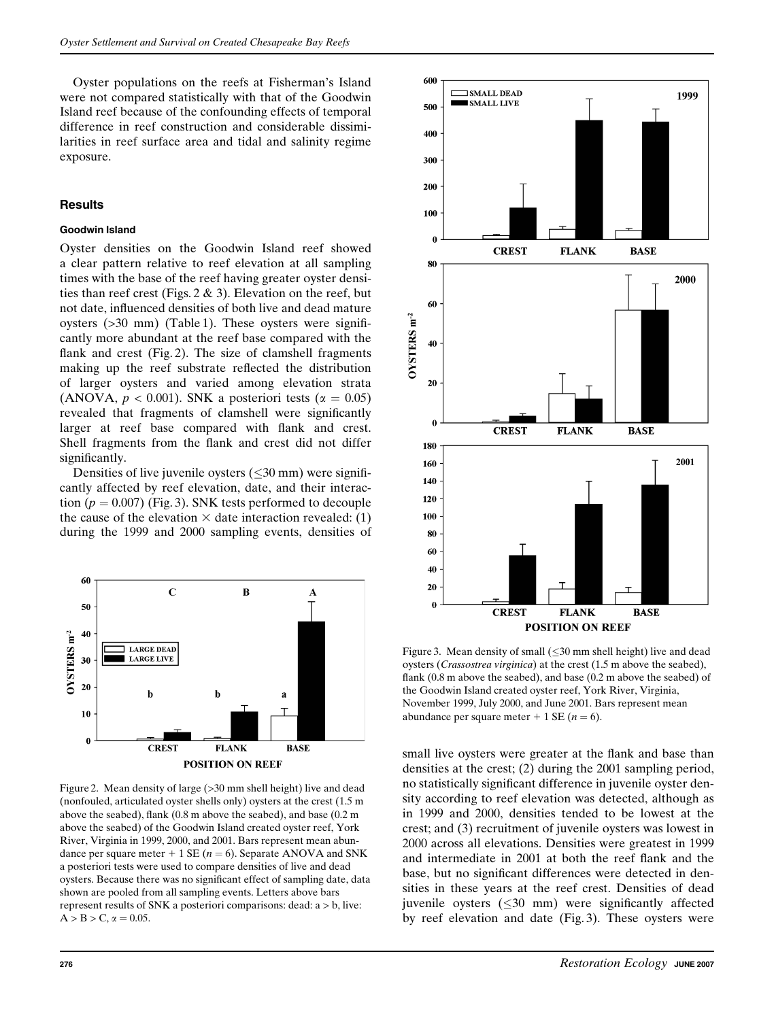Oyster populations on the reefs at Fisherman's Island were not compared statistically with that of the Goodwin Island reef because of the confounding effects of temporal difference in reef construction and considerable dissimilarities in reef surface area and tidal and salinity regime exposure.

## **Results**

#### Goodwin Island

Oyster densities on the Goodwin Island reef showed a clear pattern relative to reef elevation at all sampling times with the base of the reef having greater oyster densities than reef crest (Figs. 2 & 3). Elevation on the reef, but not date, influenced densities of both live and dead mature oysters (>30 mm) (Table 1). These oysters were significantly more abundant at the reef base compared with the flank and crest (Fig. 2). The size of clamshell fragments making up the reef substrate reflected the distribution of larger oysters and varied among elevation strata (ANOVA,  $p < 0.001$ ). SNK a posteriori tests ( $\alpha = 0.05$ ) revealed that fragments of clamshell were significantly larger at reef base compared with flank and crest. Shell fragments from the flank and crest did not differ significantly.

Densities of live juvenile oysters ( $\leq$ 30 mm) were significantly affected by reef elevation, date, and their interaction ( $p = 0.007$ ) (Fig. 3). SNK tests performed to decouple the cause of the elevation  $\times$  date interaction revealed: (1) during the 1999 and 2000 sampling events, densities of



Figure 2. Mean density of large (>30 mm shell height) live and dead (nonfouled, articulated oyster shells only) oysters at the crest (1.5 m above the seabed), flank (0.8 m above the seabed), and base (0.2 m above the seabed) of the Goodwin Island created oyster reef, York River, Virginia in 1999, 2000, and 2001. Bars represent mean abundance per square meter  $+ 1$  SE ( $n = 6$ ). Separate ANOVA and SNK a posteriori tests were used to compare densities of live and dead oysters. Because there was no significant effect of sampling date, data shown are pooled from all sampling events. Letters above bars represent results of SNK a posteriori comparisons: dead: a > b, live:  $A > B > C$ ,  $\alpha = 0.05$ .



Figure 3. Mean density of small  $(\leq 30 \text{ mm}$  shell height) live and dead oysters (Crassostrea virginica) at the crest (1.5 m above the seabed), flank (0.8 m above the seabed), and base (0.2 m above the seabed) of the Goodwin Island created oyster reef, York River, Virginia, November 1999, July 2000, and June 2001. Bars represent mean abundance per square meter + 1 SE  $(n = 6)$ .

small live oysters were greater at the flank and base than densities at the crest; (2) during the 2001 sampling period, no statistically significant difference in juvenile oyster density according to reef elevation was detected, although as in 1999 and 2000, densities tended to be lowest at the crest; and (3) recruitment of juvenile oysters was lowest in 2000 across all elevations. Densities were greatest in 1999 and intermediate in 2001 at both the reef flank and the base, but no significant differences were detected in densities in these years at the reef crest. Densities of dead juvenile oysters ( $\leq$ 30 mm) were significantly affected by reef elevation and date (Fig. 3). These oysters were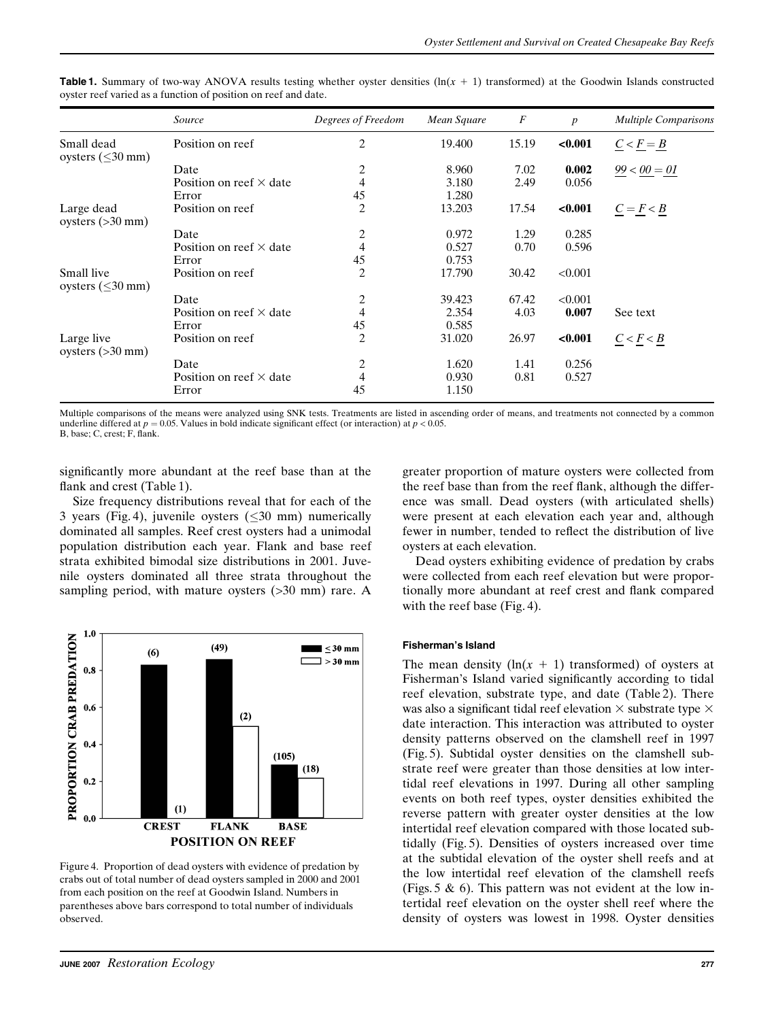|                                       | Source                                  | Degrees of Freedom   | Mean Square    | F     | $\boldsymbol{p}$ | <b>Multiple Comparisons</b> |
|---------------------------------------|-----------------------------------------|----------------------|----------------|-------|------------------|-----------------------------|
| Small dead<br>oysters $(\leq 30$ mm)  | Position on reef                        | $\overline{c}$       | 19.400         | 15.19 | < 0.001          | $C < F = B$                 |
|                                       | Date                                    | 2                    | 8.960          | 7.02  | 0.002            | $99 < 00 = 01$              |
|                                       | Position on reef $\times$ date          | $\overline{4}$       | 3.180          | 2.49  | 0.056            |                             |
|                                       | Error                                   | 45                   | 1.280          |       |                  |                             |
| Large dead<br>oysters $(>30$ mm)      | Position on reef                        | $\overline{c}$       | 13.203         | 17.54 | < 0.001          | $C = F < B$                 |
|                                       | Date                                    | 2                    | 0.972          | 1.29  | 0.285            |                             |
|                                       | Position on reef $\times$ date          | 4                    | 0.527          | 0.70  | 0.596            |                             |
|                                       | Error                                   | 45                   | 0.753          |       |                  |                             |
| Small live<br>oysters ( $\leq 30$ mm) | Position on reef                        | 2                    | 17.790         | 30.42 | < 0.001          |                             |
|                                       | Date                                    | 2                    | 39.423         | 67.42 | < 0.001          |                             |
|                                       | Position on reef $\times$ date<br>Error | $\overline{4}$<br>45 | 2.354<br>0.585 | 4.03  | 0.007            | See text                    |
| Large live<br>oysters $(>30$ mm)      | Position on reef                        | 2                    | 31.020         | 26.97 | < 0.001          | C < F < B                   |
|                                       | Date                                    | 2                    | 1.620          | 1.41  | 0.256            |                             |
|                                       | Position on reef $\times$ date          | $\overline{4}$       | 0.930          | 0.81  | 0.527            |                             |
|                                       | Error                                   | 45                   | 1.150          |       |                  |                             |

**Table 1.** Summary of two-way ANOVA results testing whether oyster densities ( $\ln(x + 1)$  transformed) at the Goodwin Islands constructed oyster reef varied as a function of position on reef and date.

Multiple comparisons of the means were analyzed using SNK tests. Treatments are listed in ascending order of means, and treatments not connected by a common underline differed at  $p = 0.05$ . Values in bold indicate significant effect (or interaction) at  $p < 0.05$ . B, base; C, crest; F, flank.

significantly more abundant at the reef base than at the flank and crest (Table 1).

Size frequency distributions reveal that for each of the 3 years (Fig. 4), juvenile oysters ( $\leq$ 30 mm) numerically dominated all samples. Reef crest oysters had a unimodal population distribution each year. Flank and base reef strata exhibited bimodal size distributions in 2001. Juvenile oysters dominated all three strata throughout the sampling period, with mature oysters (>30 mm) rare. A



Figure 4. Proportion of dead oysters with evidence of predation by crabs out of total number of dead oysters sampled in 2000 and 2001 from each position on the reef at Goodwin Island. Numbers in parentheses above bars correspond to total number of individuals observed.

greater proportion of mature oysters were collected from the reef base than from the reef flank, although the difference was small. Dead oysters (with articulated shells) were present at each elevation each year and, although fewer in number, tended to reflect the distribution of live oysters at each elevation.

Dead oysters exhibiting evidence of predation by crabs were collected from each reef elevation but were proportionally more abundant at reef crest and flank compared with the reef base (Fig. 4).

## Fisherman's Island

The mean density  $(ln(x + 1)$  transformed) of oysters at Fisherman's Island varied significantly according to tidal reef elevation, substrate type, and date (Table 2). There was also a significant tidal reef elevation  $\times$  substrate type  $\times$ date interaction. This interaction was attributed to oyster density patterns observed on the clamshell reef in 1997 (Fig. 5). Subtidal oyster densities on the clamshell substrate reef were greater than those densities at low intertidal reef elevations in 1997. During all other sampling events on both reef types, oyster densities exhibited the reverse pattern with greater oyster densities at the low intertidal reef elevation compared with those located subtidally (Fig. 5). Densities of oysters increased over time at the subtidal elevation of the oyster shell reefs and at the low intertidal reef elevation of the clamshell reefs (Figs.  $5 \& 6$ ). This pattern was not evident at the low intertidal reef elevation on the oyster shell reef where the density of oysters was lowest in 1998. Oyster densities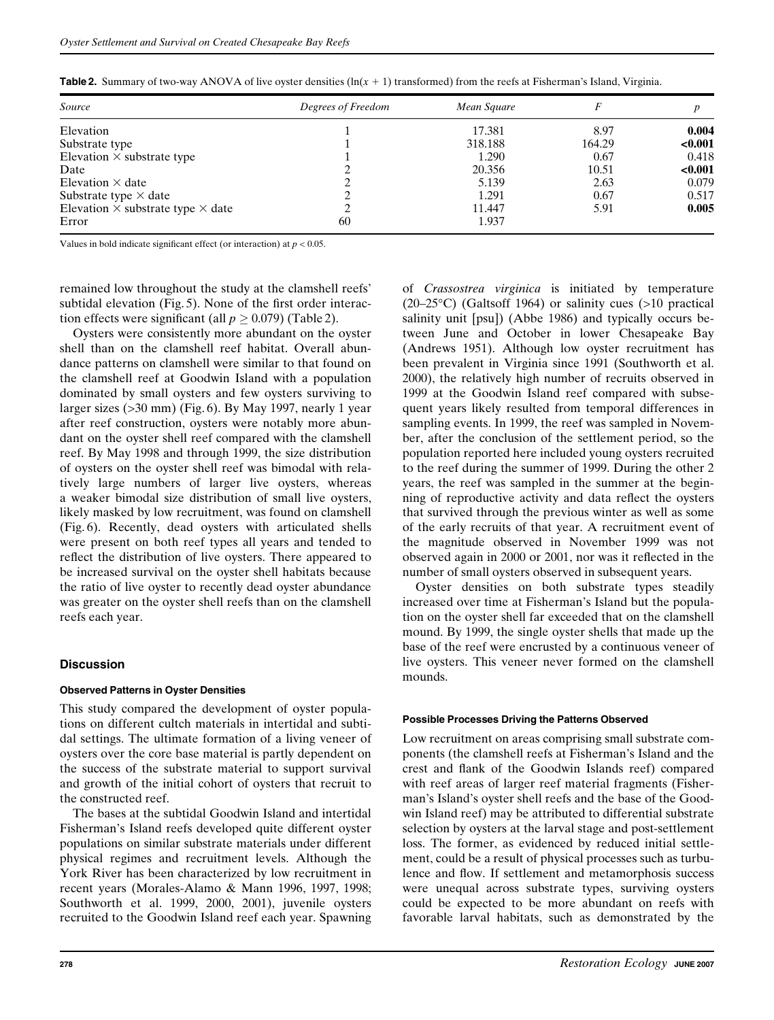| Source                                          | Degrees of Freedom | Mean Square |        |         |
|-------------------------------------------------|--------------------|-------------|--------|---------|
| Elevation                                       |                    | 17.381      | 8.97   | 0.004   |
| Substrate type                                  |                    | 318.188     | 164.29 | < 0.001 |
| Elevation $\times$ substrate type               |                    | 1.290       | 0.67   | 0.418   |
| Date                                            |                    | 20.356      | 10.51  | < 0.001 |
| Elevation $\times$ date                         |                    | 5.139       | 2.63   | 0.079   |
| Substrate type $\times$ date                    |                    | 1.291       | 0.67   | 0.517   |
| Elevation $\times$ substrate type $\times$ date |                    | 11.447      | 5.91   | 0.005   |
| Error                                           | 60                 | 1.937       |        |         |

Table 2. Summary of two-way ANOVA of live oyster densities  $(\ln(x + 1)$  transformed) from the reefs at Fisherman's Island, Virginia.

Values in bold indicate significant effect (or interaction) at  $p < 0.05$ .

remained low throughout the study at the clamshell reefs' subtidal elevation (Fig. 5). None of the first order interaction effects were significant (all  $p \ge 0.079$ ) (Table 2).

Oysters were consistently more abundant on the oyster shell than on the clamshell reef habitat. Overall abundance patterns on clamshell were similar to that found on the clamshell reef at Goodwin Island with a population dominated by small oysters and few oysters surviving to larger sizes (>30 mm) (Fig. 6). By May 1997, nearly 1 year after reef construction, oysters were notably more abundant on the oyster shell reef compared with the clamshell reef. By May 1998 and through 1999, the size distribution of oysters on the oyster shell reef was bimodal with relatively large numbers of larger live oysters, whereas a weaker bimodal size distribution of small live oysters, likely masked by low recruitment, was found on clamshell (Fig. 6). Recently, dead oysters with articulated shells were present on both reef types all years and tended to reflect the distribution of live oysters. There appeared to be increased survival on the oyster shell habitats because the ratio of live oyster to recently dead oyster abundance was greater on the oyster shell reefs than on the clamshell reefs each year.

## **Discussion**

## Observed Patterns in Oyster Densities

This study compared the development of oyster populations on different cultch materials in intertidal and subtidal settings. The ultimate formation of a living veneer of oysters over the core base material is partly dependent on the success of the substrate material to support survival and growth of the initial cohort of oysters that recruit to the constructed reef.

The bases at the subtidal Goodwin Island and intertidal Fisherman's Island reefs developed quite different oyster populations on similar substrate materials under different physical regimes and recruitment levels. Although the York River has been characterized by low recruitment in recent years (Morales-Alamo & Mann 1996, 1997, 1998; Southworth et al. 1999, 2000, 2001), juvenile oysters recruited to the Goodwin Island reef each year. Spawning

of Crassostrea virginica is initiated by temperature  $(20-25\degree C)$  (Galtsoff 1964) or salinity cues (>10 practical salinity unit [psu]) (Abbe 1986) and typically occurs between June and October in lower Chesapeake Bay (Andrews 1951). Although low oyster recruitment has been prevalent in Virginia since 1991 (Southworth et al. 2000), the relatively high number of recruits observed in 1999 at the Goodwin Island reef compared with subsequent years likely resulted from temporal differences in sampling events. In 1999, the reef was sampled in November, after the conclusion of the settlement period, so the population reported here included young oysters recruited to the reef during the summer of 1999. During the other 2 years, the reef was sampled in the summer at the beginning of reproductive activity and data reflect the oysters that survived through the previous winter as well as some of the early recruits of that year. A recruitment event of the magnitude observed in November 1999 was not observed again in 2000 or 2001, nor was it reflected in the number of small oysters observed in subsequent years.

Oyster densities on both substrate types steadily increased over time at Fisherman's Island but the population on the oyster shell far exceeded that on the clamshell mound. By 1999, the single oyster shells that made up the base of the reef were encrusted by a continuous veneer of live oysters. This veneer never formed on the clamshell mounds.

## Possible Processes Driving the Patterns Observed

Low recruitment on areas comprising small substrate components (the clamshell reefs at Fisherman's Island and the crest and flank of the Goodwin Islands reef) compared with reef areas of larger reef material fragments (Fisherman's Island's oyster shell reefs and the base of the Goodwin Island reef) may be attributed to differential substrate selection by oysters at the larval stage and post-settlement loss. The former, as evidenced by reduced initial settlement, could be a result of physical processes such as turbulence and flow. If settlement and metamorphosis success were unequal across substrate types, surviving oysters could be expected to be more abundant on reefs with favorable larval habitats, such as demonstrated by the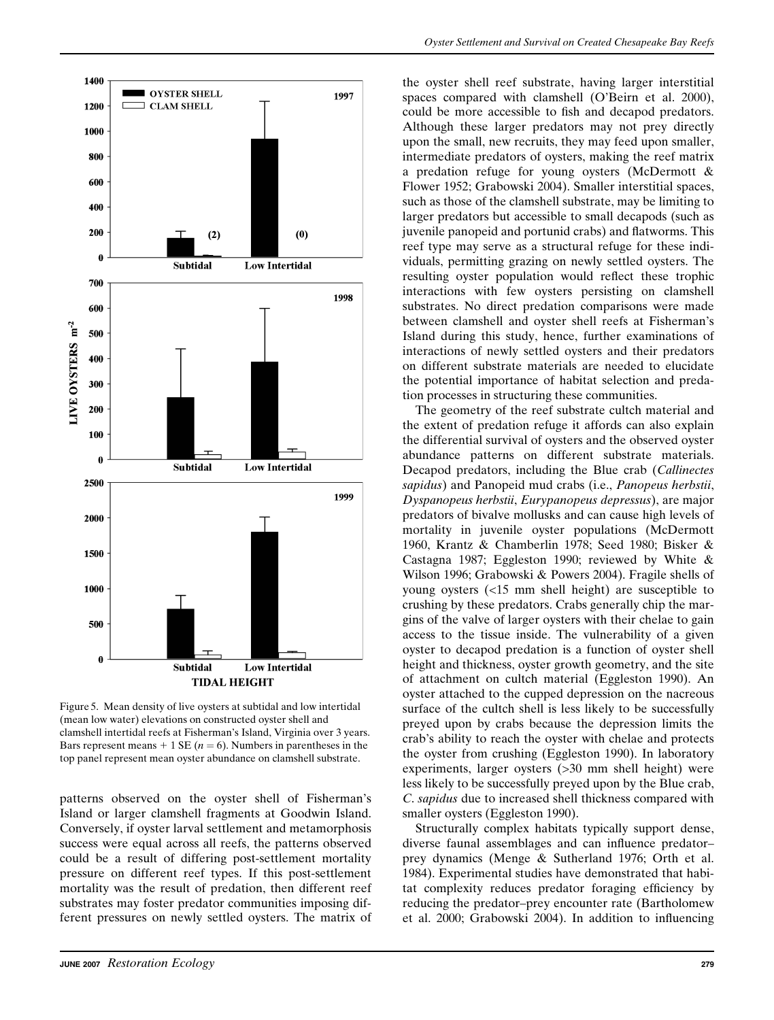

Figure 5. Mean density of live oysters at subtidal and low intertidal (mean low water) elevations on constructed oyster shell and clamshell intertidal reefs at Fisherman's Island, Virginia over 3 years. Bars represent means  $+ 1$  SE ( $n = 6$ ). Numbers in parentheses in the top panel represent mean oyster abundance on clamshell substrate.

patterns observed on the oyster shell of Fisherman's Island or larger clamshell fragments at Goodwin Island. Conversely, if oyster larval settlement and metamorphosis success were equal across all reefs, the patterns observed could be a result of differing post-settlement mortality pressure on different reef types. If this post-settlement mortality was the result of predation, then different reef substrates may foster predator communities imposing different pressures on newly settled oysters. The matrix of

the oyster shell reef substrate, having larger interstitial spaces compared with clamshell (O'Beirn et al. 2000), could be more accessible to fish and decapod predators. Although these larger predators may not prey directly upon the small, new recruits, they may feed upon smaller, intermediate predators of oysters, making the reef matrix a predation refuge for young oysters (McDermott & Flower 1952; Grabowski 2004). Smaller interstitial spaces, such as those of the clamshell substrate, may be limiting to larger predators but accessible to small decapods (such as juvenile panopeid and portunid crabs) and flatworms. This reef type may serve as a structural refuge for these individuals, permitting grazing on newly settled oysters. The resulting oyster population would reflect these trophic interactions with few oysters persisting on clamshell substrates. No direct predation comparisons were made between clamshell and oyster shell reefs at Fisherman's Island during this study, hence, further examinations of interactions of newly settled oysters and their predators on different substrate materials are needed to elucidate the potential importance of habitat selection and predation processes in structuring these communities.

The geometry of the reef substrate cultch material and the extent of predation refuge it affords can also explain the differential survival of oysters and the observed oyster abundance patterns on different substrate materials. Decapod predators, including the Blue crab (Callinectes sapidus) and Panopeid mud crabs (i.e., *Panopeus herbstii*, Dyspanopeus herbstii, Eurypanopeus depressus), are major predators of bivalve mollusks and can cause high levels of mortality in juvenile oyster populations (McDermott 1960, Krantz & Chamberlin 1978; Seed 1980; Bisker & Castagna 1987; Eggleston 1990; reviewed by White & Wilson 1996; Grabowski & Powers 2004). Fragile shells of young oysters (<15 mm shell height) are susceptible to crushing by these predators. Crabs generally chip the margins of the valve of larger oysters with their chelae to gain access to the tissue inside. The vulnerability of a given oyster to decapod predation is a function of oyster shell height and thickness, oyster growth geometry, and the site of attachment on cultch material (Eggleston 1990). An oyster attached to the cupped depression on the nacreous surface of the cultch shell is less likely to be successfully preyed upon by crabs because the depression limits the crab's ability to reach the oyster with chelae and protects the oyster from crushing (Eggleston 1990). In laboratory experiments, larger oysters (>30 mm shell height) were less likely to be successfully preyed upon by the Blue crab, C. sapidus due to increased shell thickness compared with smaller oysters (Eggleston 1990).

Structurally complex habitats typically support dense, diverse faunal assemblages and can influence predator– prey dynamics (Menge & Sutherland 1976; Orth et al. 1984). Experimental studies have demonstrated that habitat complexity reduces predator foraging efficiency by reducing the predator–prey encounter rate (Bartholomew et al. 2000; Grabowski 2004). In addition to influencing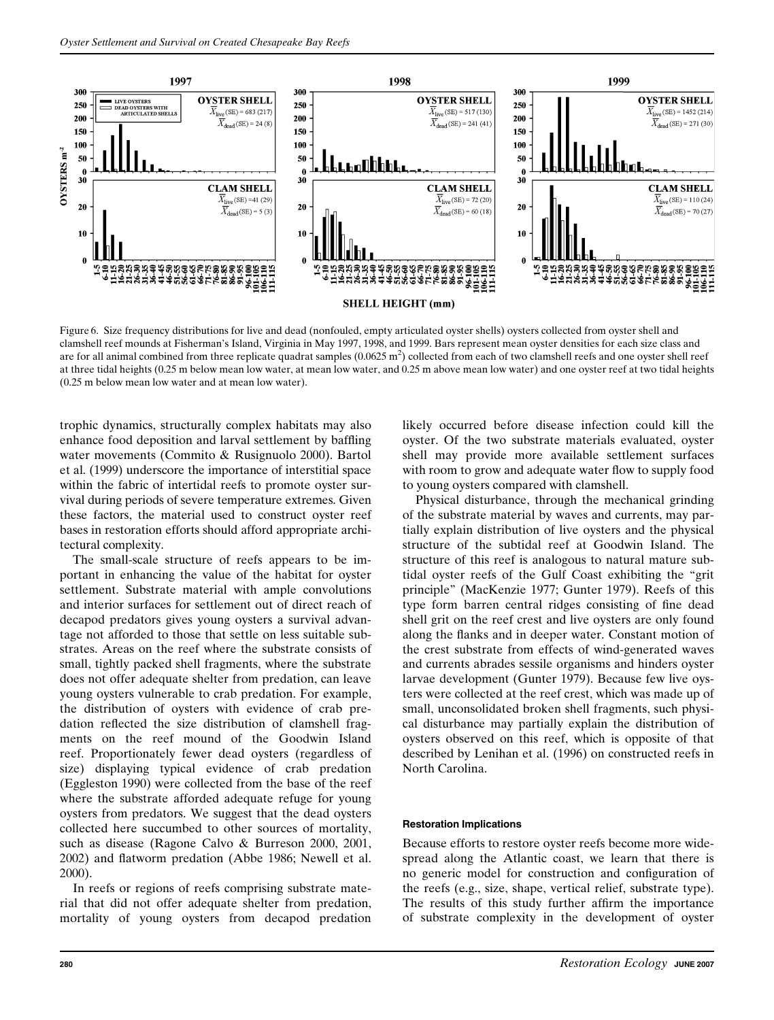

Figure 6. Size frequency distributions for live and dead (nonfouled, empty articulated oyster shells) oysters collected from oyster shell and clamshell reef mounds at Fisherman's Island, Virginia in May 1997, 1998, and 1999. Bars represent mean oyster densities for each size class and are for all animal combined from three replicate quadrat samples  $(0.0625 \text{ m}^2)$  collected from each of two clamshell reefs and one oyster shell reef at three tidal heights (0.25 m below mean low water, at mean low water, and 0.25 m above mean low water) and one oyster reef at two tidal heights (0.25 m below mean low water and at mean low water).

trophic dynamics, structurally complex habitats may also enhance food deposition and larval settlement by baffling water movements (Commito & Rusignuolo 2000). Bartol et al. (1999) underscore the importance of interstitial space within the fabric of intertidal reefs to promote oyster survival during periods of severe temperature extremes. Given these factors, the material used to construct oyster reef bases in restoration efforts should afford appropriate architectural complexity.

The small-scale structure of reefs appears to be important in enhancing the value of the habitat for oyster settlement. Substrate material with ample convolutions and interior surfaces for settlement out of direct reach of decapod predators gives young oysters a survival advantage not afforded to those that settle on less suitable substrates. Areas on the reef where the substrate consists of small, tightly packed shell fragments, where the substrate does not offer adequate shelter from predation, can leave young oysters vulnerable to crab predation. For example, the distribution of oysters with evidence of crab predation reflected the size distribution of clamshell fragments on the reef mound of the Goodwin Island reef. Proportionately fewer dead oysters (regardless of size) displaying typical evidence of crab predation (Eggleston 1990) were collected from the base of the reef where the substrate afforded adequate refuge for young oysters from predators. We suggest that the dead oysters collected here succumbed to other sources of mortality, such as disease (Ragone Calvo & Burreson 2000, 2001, 2002) and flatworm predation (Abbe 1986; Newell et al. 2000).

In reefs or regions of reefs comprising substrate material that did not offer adequate shelter from predation, mortality of young oysters from decapod predation likely occurred before disease infection could kill the oyster. Of the two substrate materials evaluated, oyster shell may provide more available settlement surfaces with room to grow and adequate water flow to supply food to young oysters compared with clamshell.

Physical disturbance, through the mechanical grinding of the substrate material by waves and currents, may partially explain distribution of live oysters and the physical structure of the subtidal reef at Goodwin Island. The structure of this reef is analogous to natural mature subtidal oyster reefs of the Gulf Coast exhibiting the ''grit principle'' (MacKenzie 1977; Gunter 1979). Reefs of this type form barren central ridges consisting of fine dead shell grit on the reef crest and live oysters are only found along the flanks and in deeper water. Constant motion of the crest substrate from effects of wind-generated waves and currents abrades sessile organisms and hinders oyster larvae development (Gunter 1979). Because few live oysters were collected at the reef crest, which was made up of small, unconsolidated broken shell fragments, such physical disturbance may partially explain the distribution of oysters observed on this reef, which is opposite of that described by Lenihan et al. (1996) on constructed reefs in North Carolina.

#### Restoration Implications

Because efforts to restore oyster reefs become more widespread along the Atlantic coast, we learn that there is no generic model for construction and configuration of the reefs (e.g., size, shape, vertical relief, substrate type). The results of this study further affirm the importance of substrate complexity in the development of oyster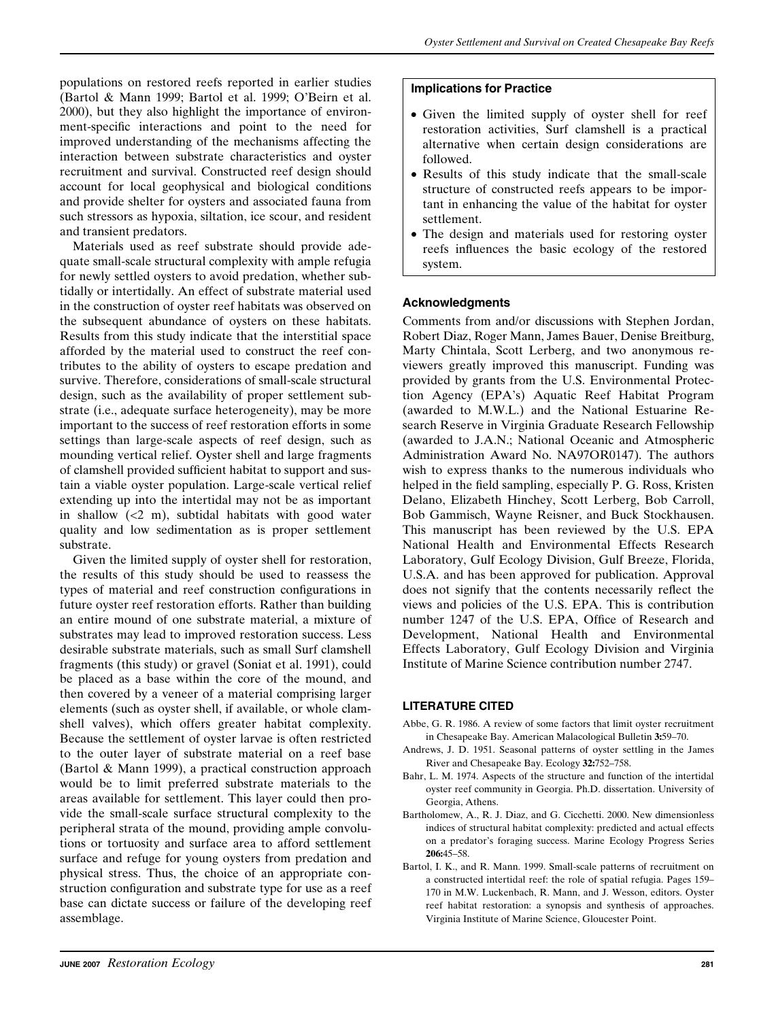populations on restored reefs reported in earlier studies (Bartol & Mann 1999; Bartol et al. 1999; O'Beirn et al. 2000), but they also highlight the importance of environment-specific interactions and point to the need for improved understanding of the mechanisms affecting the interaction between substrate characteristics and oyster recruitment and survival. Constructed reef design should account for local geophysical and biological conditions and provide shelter for oysters and associated fauna from such stressors as hypoxia, siltation, ice scour, and resident and transient predators.

Materials used as reef substrate should provide adequate small-scale structural complexity with ample refugia for newly settled oysters to avoid predation, whether subtidally or intertidally. An effect of substrate material used in the construction of oyster reef habitats was observed on the subsequent abundance of oysters on these habitats. Results from this study indicate that the interstitial space afforded by the material used to construct the reef contributes to the ability of oysters to escape predation and survive. Therefore, considerations of small-scale structural design, such as the availability of proper settlement substrate (i.e., adequate surface heterogeneity), may be more important to the success of reef restoration efforts in some settings than large-scale aspects of reef design, such as mounding vertical relief. Oyster shell and large fragments of clamshell provided sufficient habitat to support and sustain a viable oyster population. Large-scale vertical relief extending up into the intertidal may not be as important in shallow  $( $2$  m)$ , subtidal habitats with good water quality and low sedimentation as is proper settlement substrate.

Given the limited supply of oyster shell for restoration, the results of this study should be used to reassess the types of material and reef construction configurations in future oyster reef restoration efforts. Rather than building an entire mound of one substrate material, a mixture of substrates may lead to improved restoration success. Less desirable substrate materials, such as small Surf clamshell fragments (this study) or gravel (Soniat et al. 1991), could be placed as a base within the core of the mound, and then covered by a veneer of a material comprising larger elements (such as oyster shell, if available, or whole clamshell valves), which offers greater habitat complexity. Because the settlement of oyster larvae is often restricted to the outer layer of substrate material on a reef base (Bartol & Mann 1999), a practical construction approach would be to limit preferred substrate materials to the areas available for settlement. This layer could then provide the small-scale surface structural complexity to the peripheral strata of the mound, providing ample convolutions or tortuosity and surface area to afford settlement surface and refuge for young oysters from predation and physical stress. Thus, the choice of an appropriate construction configuration and substrate type for use as a reef base can dictate success or failure of the developing reef assemblage.

## Implications for Practice

- Given the limited supply of oyster shell for reef restoration activities, Surf clamshell is a practical alternative when certain design considerations are followed.
- Results of this study indicate that the small-scale structure of constructed reefs appears to be important in enhancing the value of the habitat for oyster settlement.
- The design and materials used for restoring oyster reefs influences the basic ecology of the restored system.

## Acknowledgments

Comments from and/or discussions with Stephen Jordan, Robert Diaz, Roger Mann, James Bauer, Denise Breitburg, Marty Chintala, Scott Lerberg, and two anonymous reviewers greatly improved this manuscript. Funding was provided by grants from the U.S. Environmental Protection Agency (EPA's) Aquatic Reef Habitat Program (awarded to M.W.L.) and the National Estuarine Research Reserve in Virginia Graduate Research Fellowship (awarded to J.A.N.; National Oceanic and Atmospheric Administration Award No. NA97OR0147). The authors wish to express thanks to the numerous individuals who helped in the field sampling, especially P. G. Ross, Kristen Delano, Elizabeth Hinchey, Scott Lerberg, Bob Carroll, Bob Gammisch, Wayne Reisner, and Buck Stockhausen. This manuscript has been reviewed by the U.S. EPA National Health and Environmental Effects Research Laboratory, Gulf Ecology Division, Gulf Breeze, Florida, U.S.A. and has been approved for publication. Approval does not signify that the contents necessarily reflect the views and policies of the U.S. EPA. This is contribution number 1247 of the U.S. EPA, Office of Research and Development, National Health and Environmental Effects Laboratory, Gulf Ecology Division and Virginia Institute of Marine Science contribution number 2747.

## LITERATURE CITED

- Abbe, G. R. 1986. A review of some factors that limit oyster recruitment in Chesapeake Bay. American Malacological Bulletin 3:59–70.
- Andrews, J. D. 1951. Seasonal patterns of oyster settling in the James River and Chesapeake Bay. Ecology 32:752–758.
- Bahr, L. M. 1974. Aspects of the structure and function of the intertidal oyster reef community in Georgia. Ph.D. dissertation. University of Georgia, Athens.
- Bartholomew, A., R. J. Diaz, and G. Cicchetti. 2000. New dimensionless indices of structural habitat complexity: predicted and actual effects on a predator's foraging success. Marine Ecology Progress Series 206:45–58.
- Bartol, I. K., and R. Mann. 1999. Small-scale patterns of recruitment on a constructed intertidal reef: the role of spatial refugia. Pages 159– 170 in M.W. Luckenbach, R. Mann, and J. Wesson, editors. Oyster reef habitat restoration: a synopsis and synthesis of approaches. Virginia Institute of Marine Science, Gloucester Point.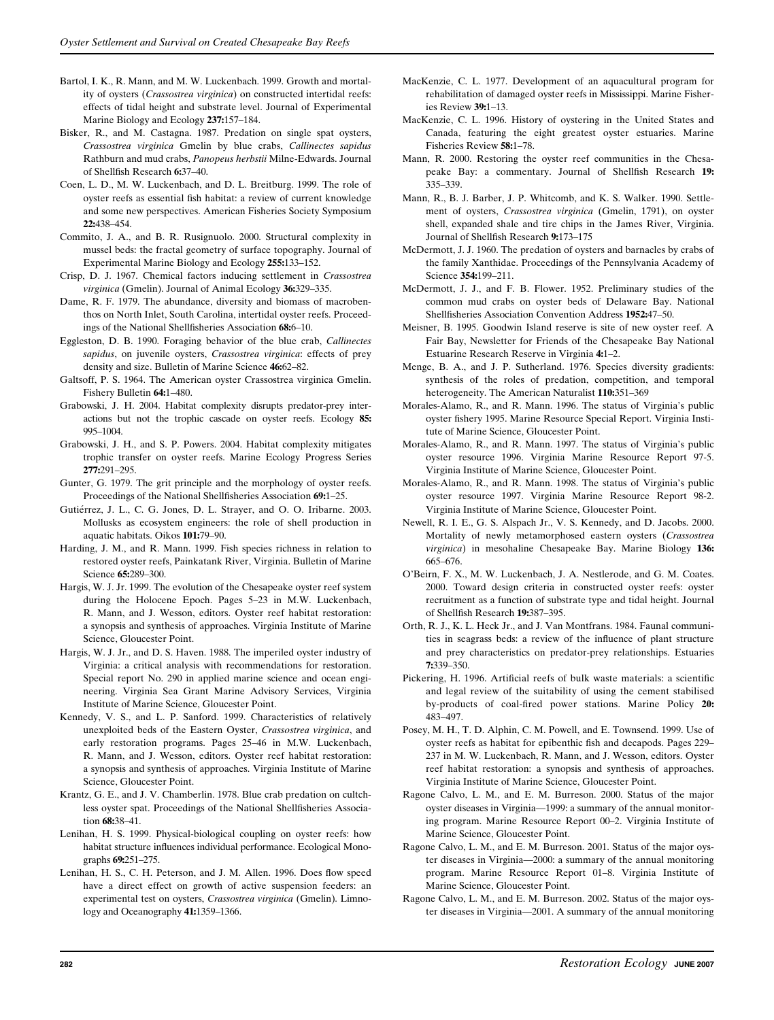- Bartol, I. K., R. Mann, and M. W. Luckenbach. 1999. Growth and mortality of oysters (Crassostrea virginica) on constructed intertidal reefs: effects of tidal height and substrate level. Journal of Experimental Marine Biology and Ecology 237:157–184.
- Bisker, R., and M. Castagna. 1987. Predation on single spat oysters, Crassostrea virginica Gmelin by blue crabs, Callinectes sapidus Rathburn and mud crabs, Panopeus herbstii Milne-Edwards. Journal of Shellfish Research 6:37–40.
- Coen, L. D., M. W. Luckenbach, and D. L. Breitburg. 1999. The role of oyster reefs as essential fish habitat: a review of current knowledge and some new perspectives. American Fisheries Society Symposium 22:438–454.
- Commito, J. A., and B. R. Rusignuolo. 2000. Structural complexity in mussel beds: the fractal geometry of surface topography. Journal of Experimental Marine Biology and Ecology 255:133–152.
- Crisp, D. J. 1967. Chemical factors inducing settlement in Crassostrea virginica (Gmelin). Journal of Animal Ecology 36:329–335.
- Dame, R. F. 1979. The abundance, diversity and biomass of macrobenthos on North Inlet, South Carolina, intertidal oyster reefs. Proceedings of the National Shellfisheries Association 68:6–10.
- Eggleston, D. B. 1990. Foraging behavior of the blue crab, Callinectes sapidus, on juvenile oysters, Crassostrea virginica: effects of prey density and size. Bulletin of Marine Science 46:62–82.
- Galtsoff, P. S. 1964. The American oyster Crassostrea virginica Gmelin. Fishery Bulletin 64:1–480.
- Grabowski, J. H. 2004. Habitat complexity disrupts predator-prey interactions but not the trophic cascade on oyster reefs. Ecology 85: 995–1004.
- Grabowski, J. H., and S. P. Powers. 2004. Habitat complexity mitigates trophic transfer on oyster reefs. Marine Ecology Progress Series 277:291–295.
- Gunter, G. 1979. The grit principle and the morphology of oyster reefs. Proceedings of the National Shellfisheries Association 69:1–25.
- Gutiérrez, J. L., C. G. Jones, D. L. Strayer, and O. O. Iribarne. 2003. Mollusks as ecosystem engineers: the role of shell production in aquatic habitats. Oikos 101:79–90.
- Harding, J. M., and R. Mann. 1999. Fish species richness in relation to restored oyster reefs, Painkatank River, Virginia. Bulletin of Marine Science 65:289–300.
- Hargis, W. J. Jr. 1999. The evolution of the Chesapeake oyster reef system during the Holocene Epoch. Pages 5–23 in M.W. Luckenbach, R. Mann, and J. Wesson, editors. Oyster reef habitat restoration: a synopsis and synthesis of approaches. Virginia Institute of Marine Science, Gloucester Point.
- Hargis, W. J. Jr., and D. S. Haven. 1988. The imperiled oyster industry of Virginia: a critical analysis with recommendations for restoration. Special report No. 290 in applied marine science and ocean engineering. Virginia Sea Grant Marine Advisory Services, Virginia Institute of Marine Science, Gloucester Point.
- Kennedy, V. S., and L. P. Sanford. 1999. Characteristics of relatively unexploited beds of the Eastern Oyster, Crassostrea virginica, and early restoration programs. Pages 25–46 in M.W. Luckenbach, R. Mann, and J. Wesson, editors. Oyster reef habitat restoration: a synopsis and synthesis of approaches. Virginia Institute of Marine Science, Gloucester Point.
- Krantz, G. E., and J. V. Chamberlin. 1978. Blue crab predation on cultchless oyster spat. Proceedings of the National Shellfisheries Association 68:38–41.
- Lenihan, H. S. 1999. Physical-biological coupling on oyster reefs: how habitat structure influences individual performance. Ecological Monographs 69:251–275.
- Lenihan, H. S., C. H. Peterson, and J. M. Allen. 1996. Does flow speed have a direct effect on growth of active suspension feeders: an experimental test on oysters, Crassostrea virginica (Gmelin). Limnology and Oceanography 41:1359–1366.
- MacKenzie, C. L. 1977. Development of an aquacultural program for rehabilitation of damaged oyster reefs in Mississippi. Marine Fisheries Review 39:1–13.
- MacKenzie, C. L. 1996. History of oystering in the United States and Canada, featuring the eight greatest oyster estuaries. Marine Fisheries Review 58:1–78.
- Mann, R. 2000. Restoring the oyster reef communities in the Chesapeake Bay: a commentary. Journal of Shellfish Research 19: 335–339.
- Mann, R., B. J. Barber, J. P. Whitcomb, and K. S. Walker. 1990. Settlement of oysters, Crassostrea virginica (Gmelin, 1791), on oyster shell, expanded shale and tire chips in the James River, Virginia. Journal of Shellfish Research 9:173–175
- McDermott, J. J. 1960. The predation of oysters and barnacles by crabs of the family Xanthidae. Proceedings of the Pennsylvania Academy of Science 354:199–211.
- McDermott, J. J., and F. B. Flower. 1952. Preliminary studies of the common mud crabs on oyster beds of Delaware Bay. National Shellfisheries Association Convention Address 1952:47–50.
- Meisner, B. 1995. Goodwin Island reserve is site of new oyster reef. A Fair Bay, Newsletter for Friends of the Chesapeake Bay National Estuarine Research Reserve in Virginia 4:1–2.
- Menge, B. A., and J. P. Sutherland. 1976. Species diversity gradients: synthesis of the roles of predation, competition, and temporal heterogeneity. The American Naturalist 110:351–369
- Morales-Alamo, R., and R. Mann. 1996. The status of Virginia's public oyster fishery 1995. Marine Resource Special Report. Virginia Institute of Marine Science, Gloucester Point.
- Morales-Alamo, R., and R. Mann. 1997. The status of Virginia's public oyster resource 1996. Virginia Marine Resource Report 97-5. Virginia Institute of Marine Science, Gloucester Point.
- Morales-Alamo, R., and R. Mann. 1998. The status of Virginia's public oyster resource 1997. Virginia Marine Resource Report 98-2. Virginia Institute of Marine Science, Gloucester Point.
- Newell, R. I. E., G. S. Alspach Jr., V. S. Kennedy, and D. Jacobs. 2000. Mortality of newly metamorphosed eastern oysters (Crassostrea virginica) in mesohaline Chesapeake Bay. Marine Biology 136: 665–676.
- O'Beirn, F. X., M. W. Luckenbach, J. A. Nestlerode, and G. M. Coates. 2000. Toward design criteria in constructed oyster reefs: oyster recruitment as a function of substrate type and tidal height. Journal of Shellfish Research 19:387–395.
- Orth, R. J., K. L. Heck Jr., and J. Van Montfrans. 1984. Faunal communities in seagrass beds: a review of the influence of plant structure and prey characteristics on predator-prey relationships. Estuaries 7:339–350.
- Pickering, H. 1996. Artificial reefs of bulk waste materials: a scientific and legal review of the suitability of using the cement stabilised by-products of coal-fired power stations. Marine Policy 20: 483–497.
- Posey, M. H., T. D. Alphin, C. M. Powell, and E. Townsend. 1999. Use of oyster reefs as habitat for epibenthic fish and decapods. Pages 229– 237 in M. W. Luckenbach, R. Mann, and J. Wesson, editors. Oyster reef habitat restoration: a synopsis and synthesis of approaches. Virginia Institute of Marine Science, Gloucester Point.
- Ragone Calvo, L. M., and E. M. Burreson. 2000. Status of the major oyster diseases in Virginia—1999: a summary of the annual monitoring program. Marine Resource Report 00–2. Virginia Institute of Marine Science, Gloucester Point.
- Ragone Calvo, L. M., and E. M. Burreson. 2001. Status of the major oyster diseases in Virginia—2000: a summary of the annual monitoring program. Marine Resource Report 01–8. Virginia Institute of Marine Science, Gloucester Point.
- Ragone Calvo, L. M., and E. M. Burreson. 2002. Status of the major oyster diseases in Virginia—2001. A summary of the annual monitoring